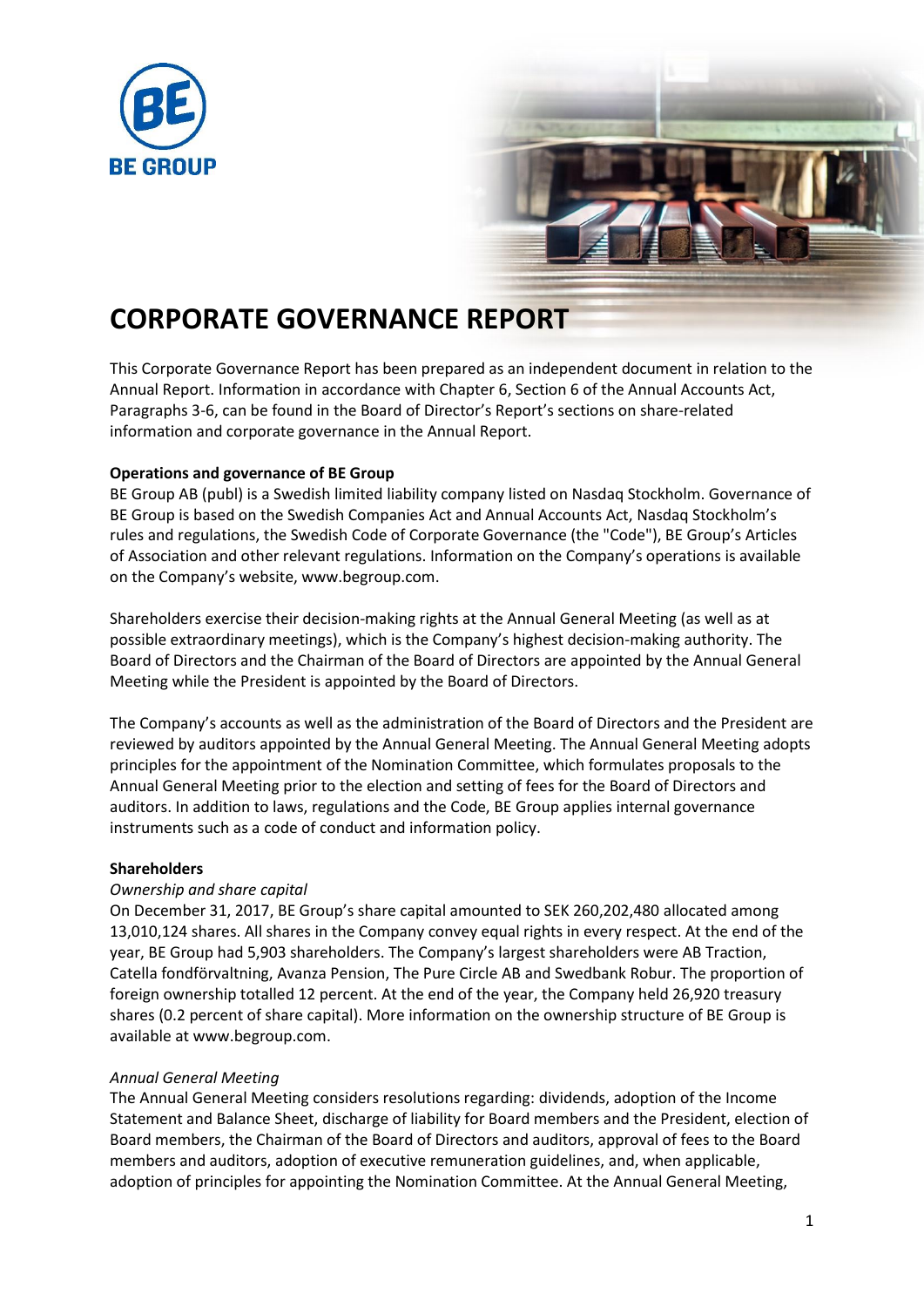



# **CORPORATE GOVERNANCE REPORT**

This Corporate Governance Report has been prepared as an independent document in relation to the Annual Report. Information in accordance with Chapter 6, Section 6 of the Annual Accounts Act, Paragraphs 3-6, can be found in the Board of Director's Report's sections on share-related information and corporate governance in the Annual Report.

# **Operations and governance of BE Group**

BE Group AB (publ) is a Swedish limited liability company listed on Nasdaq Stockholm. Governance of BE Group is based on the Swedish Companies Act and Annual Accounts Act, Nasdaq Stockholm's rules and regulations, the Swedish Code of Corporate Governance (the "Code"), BE Group's Articles of Association and other relevant regulations. Information on the Company's operations is available on the Company's website, www.begroup.com.

Shareholders exercise their decision-making rights at the Annual General Meeting (as well as at possible extraordinary meetings), which is the Company's highest decision-making authority. The Board of Directors and the Chairman of the Board of Directors are appointed by the Annual General Meeting while the President is appointed by the Board of Directors.

The Company's accounts as well as the administration of the Board of Directors and the President are reviewed by auditors appointed by the Annual General Meeting. The Annual General Meeting adopts principles for the appointment of the Nomination Committee, which formulates proposals to the Annual General Meeting prior to the election and setting of fees for the Board of Directors and auditors. In addition to laws, regulations and the Code, BE Group applies internal governance instruments such as a code of conduct and information policy.

# **Shareholders**

# *Ownership and share capital*

On December 31, 2017, BE Group's share capital amounted to SEK 260,202,480 allocated among 13,010,124 shares. All shares in the Company convey equal rights in every respect. At the end of the year, BE Group had 5,903 shareholders. The Company's largest shareholders were AB Traction, Catella fondförvaltning, Avanza Pension, The Pure Circle AB and Swedbank Robur. The proportion of foreign ownership totalled 12 percent. At the end of the year, the Company held 26,920 treasury shares (0.2 percent of share capital). More information on the ownership structure of BE Group is available at www.begroup.com.

# *Annual General Meeting*

The Annual General Meeting considers resolutions regarding: dividends, adoption of the Income Statement and Balance Sheet, discharge of liability for Board members and the President, election of Board members, the Chairman of the Board of Directors and auditors, approval of fees to the Board members and auditors, adoption of executive remuneration guidelines, and, when applicable, adoption of principles for appointing the Nomination Committee. At the Annual General Meeting,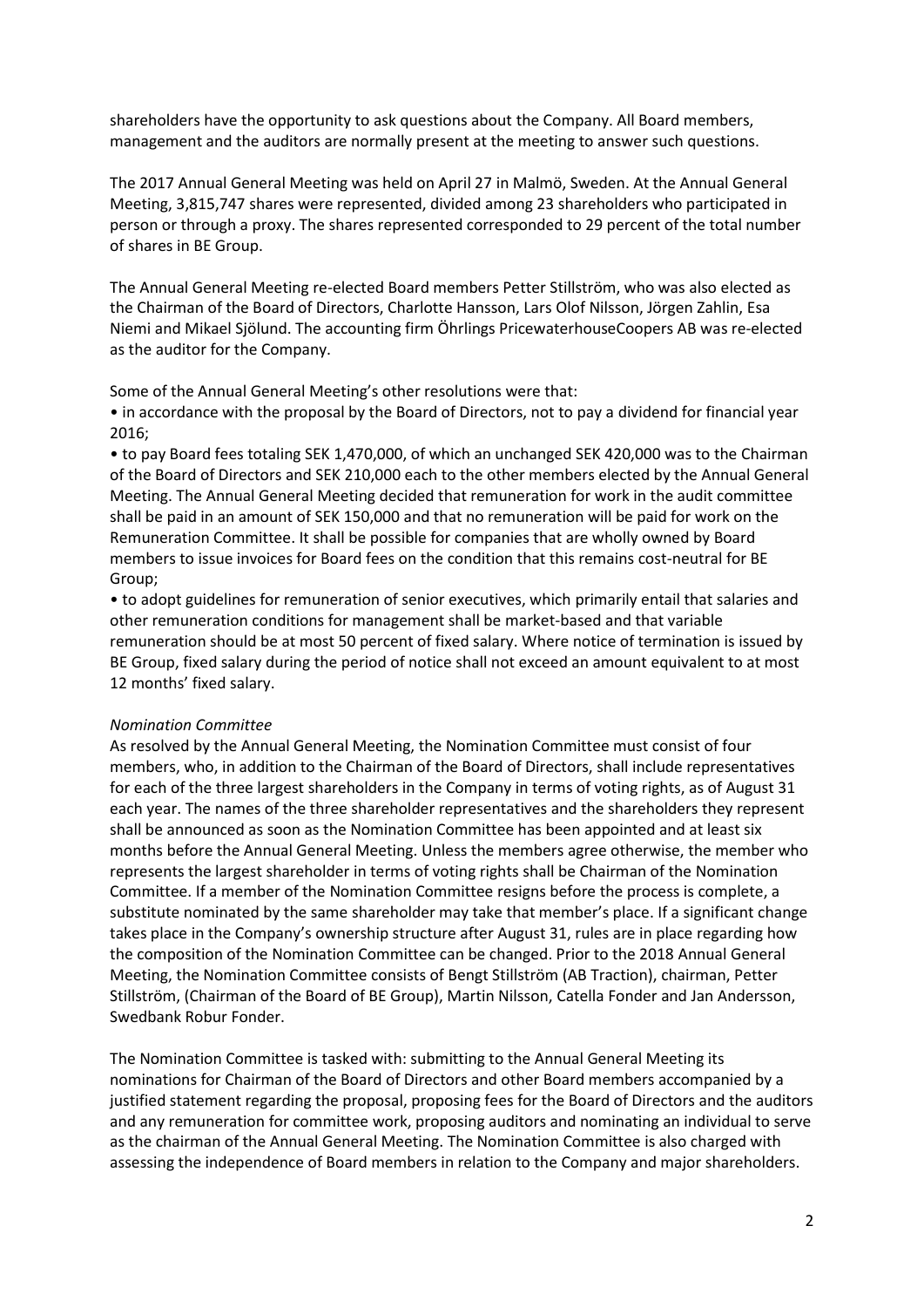shareholders have the opportunity to ask questions about the Company. All Board members, management and the auditors are normally present at the meeting to answer such questions.

The 2017 Annual General Meeting was held on April 27 in Malmö, Sweden. At the Annual General Meeting, 3,815,747 shares were represented, divided among 23 shareholders who participated in person or through a proxy. The shares represented corresponded to 29 percent of the total number of shares in BE Group.

The Annual General Meeting re-elected Board members Petter Stillström, who was also elected as the Chairman of the Board of Directors, Charlotte Hansson, Lars Olof Nilsson, Jörgen Zahlin, Esa Niemi and Mikael Sjölund. The accounting firm Öhrlings PricewaterhouseCoopers AB was re-elected as the auditor for the Company.

Some of the Annual General Meeting's other resolutions were that:

• in accordance with the proposal by the Board of Directors, not to pay a dividend for financial year 2016;

• to pay Board fees totaling SEK 1,470,000, of which an unchanged SEK 420,000 was to the Chairman of the Board of Directors and SEK 210,000 each to the other members elected by the Annual General Meeting. The Annual General Meeting decided that remuneration for work in the audit committee shall be paid in an amount of SEK 150,000 and that no remuneration will be paid for work on the Remuneration Committee. It shall be possible for companies that are wholly owned by Board members to issue invoices for Board fees on the condition that this remains cost-neutral for BE Group;

• to adopt guidelines for remuneration of senior executives, which primarily entail that salaries and other remuneration conditions for management shall be market-based and that variable remuneration should be at most 50 percent of fixed salary. Where notice of termination is issued by BE Group, fixed salary during the period of notice shall not exceed an amount equivalent to at most 12 months' fixed salary.

## *Nomination Committee*

As resolved by the Annual General Meeting, the Nomination Committee must consist of four members, who, in addition to the Chairman of the Board of Directors, shall include representatives for each of the three largest shareholders in the Company in terms of voting rights, as of August 31 each year. The names of the three shareholder representatives and the shareholders they represent shall be announced as soon as the Nomination Committee has been appointed and at least six months before the Annual General Meeting. Unless the members agree otherwise, the member who represents the largest shareholder in terms of voting rights shall be Chairman of the Nomination Committee. If a member of the Nomination Committee resigns before the process is complete, a substitute nominated by the same shareholder may take that member's place. If a significant change takes place in the Company's ownership structure after August 31, rules are in place regarding how the composition of the Nomination Committee can be changed. Prior to the 2018 Annual General Meeting, the Nomination Committee consists of Bengt Stillström (AB Traction), chairman, Petter Stillström, (Chairman of the Board of BE Group), Martin Nilsson, Catella Fonder and Jan Andersson, Swedbank Robur Fonder.

The Nomination Committee is tasked with: submitting to the Annual General Meeting its nominations for Chairman of the Board of Directors and other Board members accompanied by a justified statement regarding the proposal, proposing fees for the Board of Directors and the auditors and any remuneration for committee work, proposing auditors and nominating an individual to serve as the chairman of the Annual General Meeting. The Nomination Committee is also charged with assessing the independence of Board members in relation to the Company and major shareholders.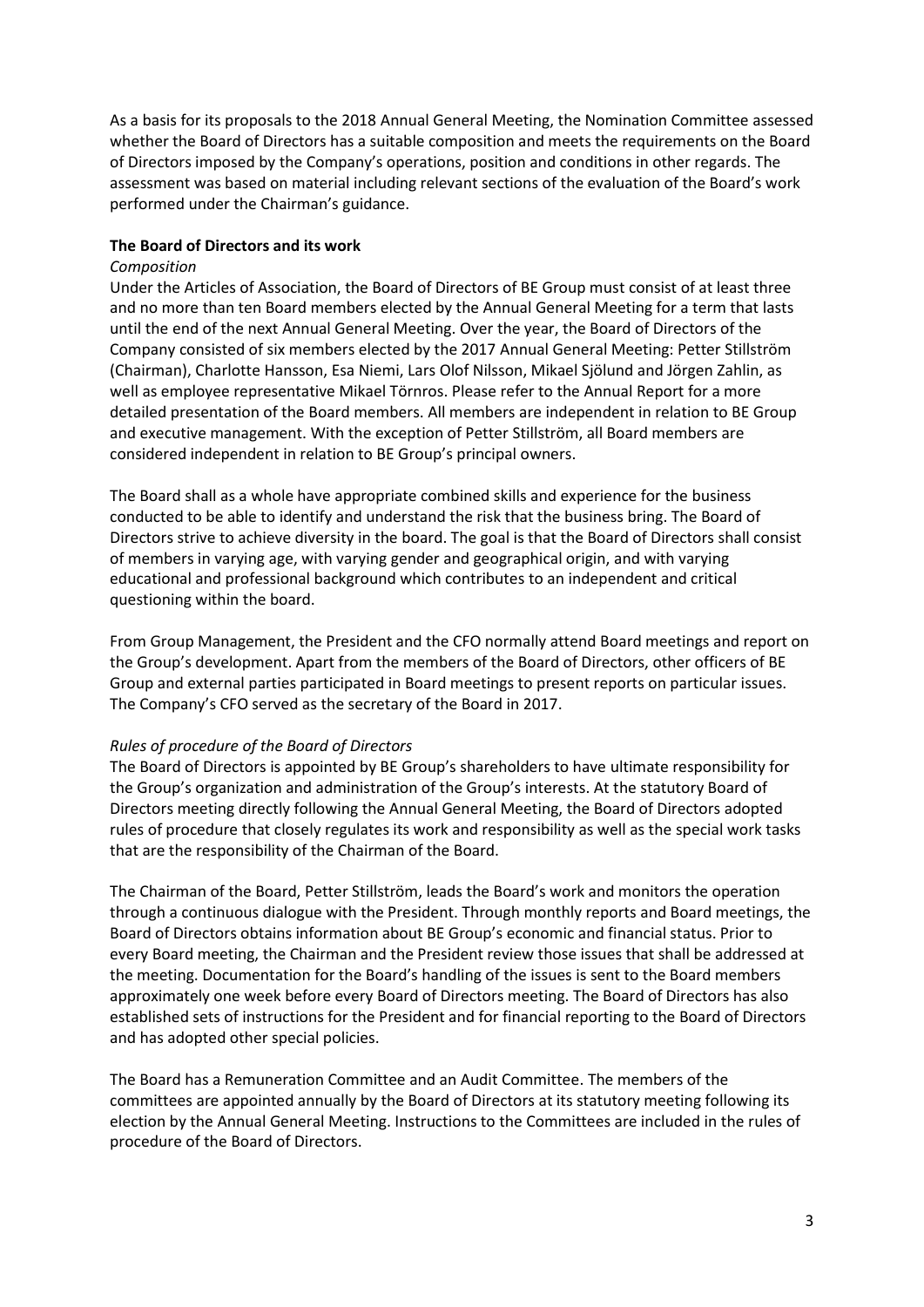As a basis for its proposals to the 2018 Annual General Meeting, the Nomination Committee assessed whether the Board of Directors has a suitable composition and meets the requirements on the Board of Directors imposed by the Company's operations, position and conditions in other regards. The assessment was based on material including relevant sections of the evaluation of the Board's work performed under the Chairman's guidance.

# **The Board of Directors and its work**

## *Composition*

Under the Articles of Association, the Board of Directors of BE Group must consist of at least three and no more than ten Board members elected by the Annual General Meeting for a term that lasts until the end of the next Annual General Meeting. Over the year, the Board of Directors of the Company consisted of six members elected by the 2017 Annual General Meeting: Petter Stillström (Chairman), Charlotte Hansson, Esa Niemi, Lars Olof Nilsson, Mikael Sjölund and Jörgen Zahlin, as well as employee representative Mikael Törnros. Please refer to the Annual Report for a more detailed presentation of the Board members. All members are independent in relation to BE Group and executive management. With the exception of Petter Stillström, all Board members are considered independent in relation to BE Group's principal owners.

The Board shall as a whole have appropriate combined skills and experience for the business conducted to be able to identify and understand the risk that the business bring. The Board of Directors strive to achieve diversity in the board. The goal is that the Board of Directors shall consist of members in varying age, with varying gender and geographical origin, and with varying educational and professional background which contributes to an independent and critical questioning within the board.

From Group Management, the President and the CFO normally attend Board meetings and report on the Group's development. Apart from the members of the Board of Directors, other officers of BE Group and external parties participated in Board meetings to present reports on particular issues. The Company's CFO served as the secretary of the Board in 2017.

## *Rules of procedure of the Board of Directors*

The Board of Directors is appointed by BE Group's shareholders to have ultimate responsibility for the Group's organization and administration of the Group's interests. At the statutory Board of Directors meeting directly following the Annual General Meeting, the Board of Directors adopted rules of procedure that closely regulates its work and responsibility as well as the special work tasks that are the responsibility of the Chairman of the Board.

The Chairman of the Board, Petter Stillström, leads the Board's work and monitors the operation through a continuous dialogue with the President. Through monthly reports and Board meetings, the Board of Directors obtains information about BE Group's economic and financial status. Prior to every Board meeting, the Chairman and the President review those issues that shall be addressed at the meeting. Documentation for the Board's handling of the issues is sent to the Board members approximately one week before every Board of Directors meeting. The Board of Directors has also established sets of instructions for the President and for financial reporting to the Board of Directors and has adopted other special policies.

The Board has a Remuneration Committee and an Audit Committee. The members of the committees are appointed annually by the Board of Directors at its statutory meeting following its election by the Annual General Meeting. Instructions to the Committees are included in the rules of procedure of the Board of Directors.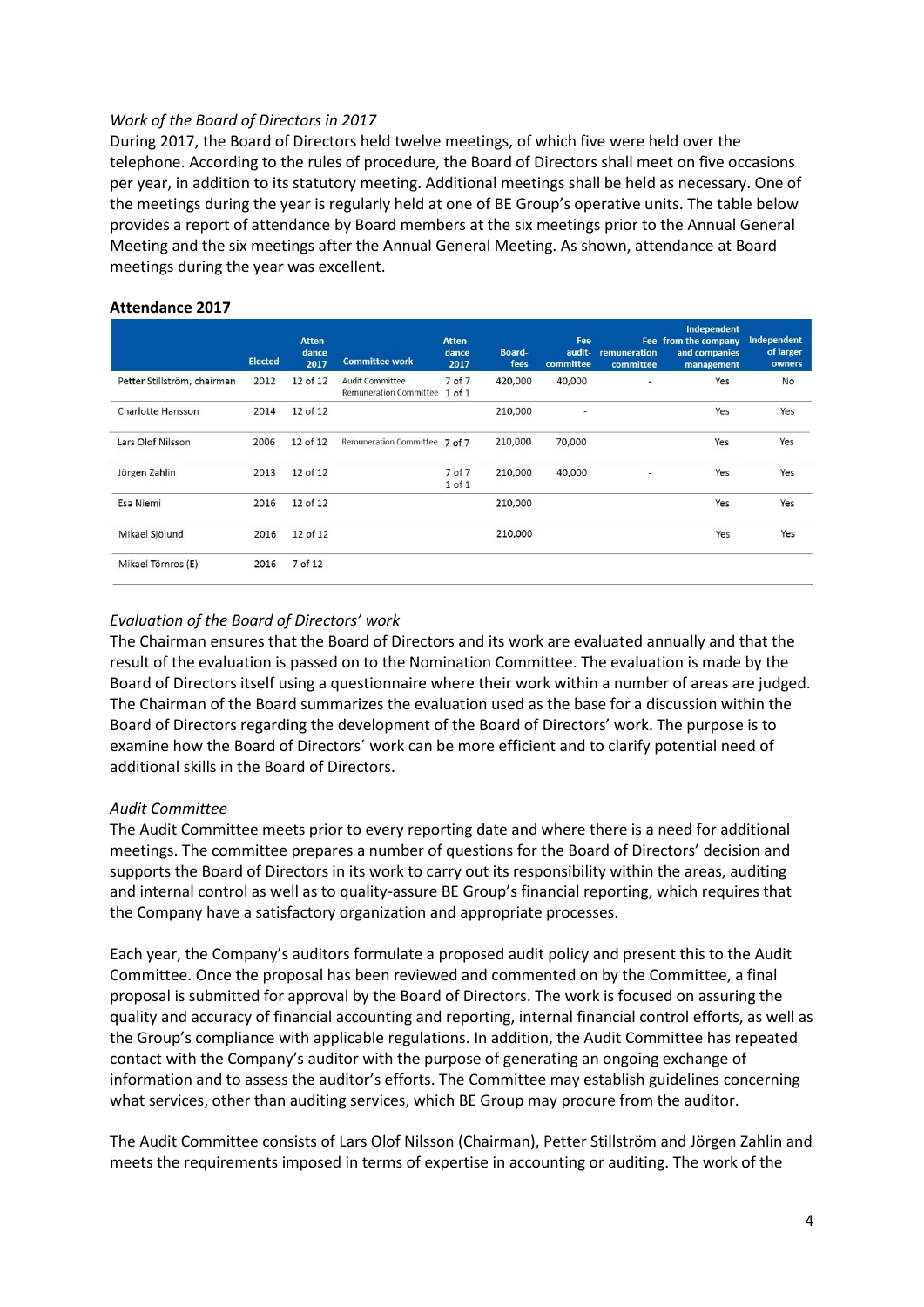## *Work of the Board of Directors in 2017*

During 2017, the Board of Directors held twelve meetings, of which five were held over the telephone. According to the rules of procedure, the Board of Directors shall meet on five occasions per year, in addition to its statutory meeting. Additional meetings shall be held as necessary. One of the meetings during the year is regularly held at one of BE Group's operative units. The table below provides a report of attendance by Board members at the six meetings prior to the Annual General Meeting and the six meetings after the Annual General Meeting. As shown, attendance at Board meetings during the year was excellent.

|                             | <b>Elected</b> | Atten-<br>dance<br>2017 | <b>Committee work</b>                            | Atten-<br>dance<br>2017 | Board-<br>fees | Fee<br>audit-<br>committee | Fee<br>remuneration<br>committee | Independent<br>from the company<br>and companies<br>management | Independent<br>of larger<br>owners |
|-----------------------------|----------------|-------------------------|--------------------------------------------------|-------------------------|----------------|----------------------------|----------------------------------|----------------------------------------------------------------|------------------------------------|
| Petter Stillström, chairman | 2012           | 12 of 12                | Audit Committee<br><b>Remuneration Committee</b> | 7 of 7<br>$1$ of $1$    | 420,000        | 40,000                     |                                  | Yes                                                            | <b>No</b>                          |
| Charlotte Hansson           | 2014           | 12 of 12                |                                                  |                         | 210,000        | ٠                          |                                  | Yes                                                            | Yes                                |
| Lars Olof Nilsson           | 2006           | 12 of 12                | Remuneration Committee 7 of 7                    |                         | 210,000        | 70,000                     |                                  | Yes                                                            | Yes                                |
| Jörgen Zahlin               | 2013           | 12 of 12                |                                                  | 7 of 7<br>$1$ of $1$    | 210,000        | 40,000                     |                                  | Yes                                                            | Yes                                |
| Esa Niemi                   | 2016           | 12 of 12                |                                                  |                         | 210,000        |                            |                                  | Yes                                                            | Yes                                |
| Mikael Sjölund              | 2016           | 12 of 12                |                                                  |                         | 210,000        |                            |                                  | Yes                                                            | Yes                                |
| Mikael Törnros (E)          | 2016           | 7 of 12                 |                                                  |                         |                |                            |                                  |                                                                |                                    |

#### **Attendance 2017**

# *Evaluation of the Board of Directors' work*

The Chairman ensures that the Board of Directors and its work are evaluated annually and that the result of the evaluation is passed on to the Nomination Committee. The evaluation is made by the Board of Directors itself using a questionnaire where their work within a number of areas are judged. The Chairman of the Board summarizes the evaluation used as the base for a discussion within the Board of Directors regarding the development of the Board of Directors' work. The purpose is to examine how the Board of Directors´ work can be more efficient and to clarify potential need of additional skills in the Board of Directors.

## *Audit Committee*

The Audit Committee meets prior to every reporting date and where there is a need for additional meetings. The committee prepares a number of questions for the Board of Directors' decision and supports the Board of Directors in its work to carry out its responsibility within the areas, auditing and internal control as well as to quality-assure BE Group's financial reporting, which requires that the Company have a satisfactory organization and appropriate processes.

Each year, the Company's auditors formulate a proposed audit policy and present this to the Audit Committee. Once the proposal has been reviewed and commented on by the Committee, a final proposal is submitted for approval by the Board of Directors. The work is focused on assuring the quality and accuracy of financial accounting and reporting, internal financial control efforts, as well as the Group's compliance with applicable regulations. In addition, the Audit Committee has repeated contact with the Company's auditor with the purpose of generating an ongoing exchange of information and to assess the auditor's efforts. The Committee may establish guidelines concerning what services, other than auditing services, which BE Group may procure from the auditor.

The Audit Committee consists of Lars Olof Nilsson (Chairman), Petter Stillström and Jörgen Zahlin and meets the requirements imposed in terms of expertise in accounting or auditing. The work of the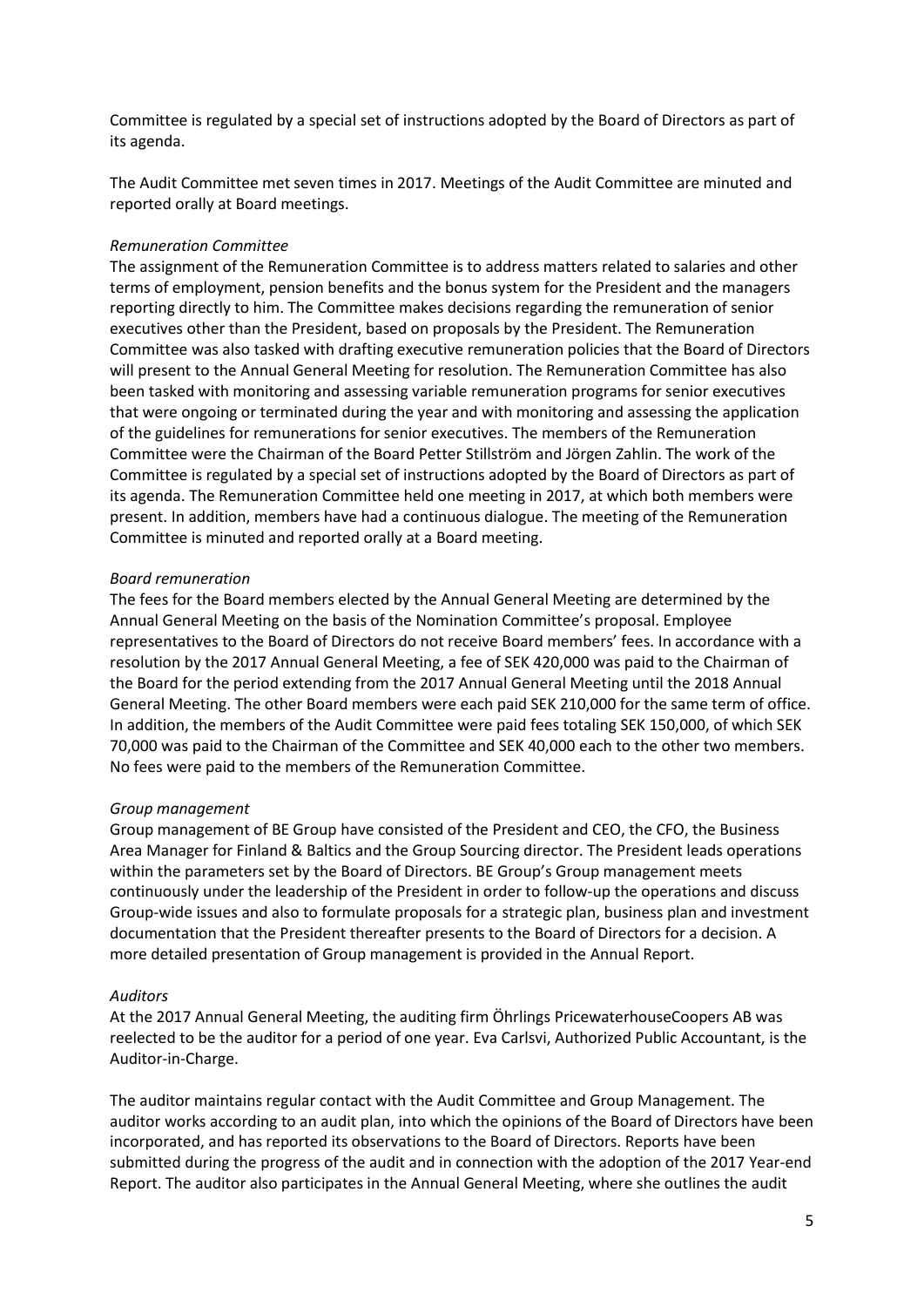Committee is regulated by a special set of instructions adopted by the Board of Directors as part of its agenda.

The Audit Committee met seven times in 2017. Meetings of the Audit Committee are minuted and reported orally at Board meetings.

## *Remuneration Committee*

The assignment of the Remuneration Committee is to address matters related to salaries and other terms of employment, pension benefits and the bonus system for the President and the managers reporting directly to him. The Committee makes decisions regarding the remuneration of senior executives other than the President, based on proposals by the President. The Remuneration Committee was also tasked with drafting executive remuneration policies that the Board of Directors will present to the Annual General Meeting for resolution. The Remuneration Committee has also been tasked with monitoring and assessing variable remuneration programs for senior executives that were ongoing or terminated during the year and with monitoring and assessing the application of the guidelines for remunerations for senior executives. The members of the Remuneration Committee were the Chairman of the Board Petter Stillström and Jörgen Zahlin. The work of the Committee is regulated by a special set of instructions adopted by the Board of Directors as part of its agenda. The Remuneration Committee held one meeting in 2017, at which both members were present. In addition, members have had a continuous dialogue. The meeting of the Remuneration Committee is minuted and reported orally at a Board meeting.

#### *Board remuneration*

The fees for the Board members elected by the Annual General Meeting are determined by the Annual General Meeting on the basis of the Nomination Committee's proposal. Employee representatives to the Board of Directors do not receive Board members' fees. In accordance with a resolution by the 2017 Annual General Meeting, a fee of SEK 420,000 was paid to the Chairman of the Board for the period extending from the 2017 Annual General Meeting until the 2018 Annual General Meeting. The other Board members were each paid SEK 210,000 for the same term of office. In addition, the members of the Audit Committee were paid fees totaling SEK 150,000, of which SEK 70,000 was paid to the Chairman of the Committee and SEK 40,000 each to the other two members. No fees were paid to the members of the Remuneration Committee.

## *Group management*

Group management of BE Group have consisted of the President and CEO, the CFO, the Business Area Manager for Finland & Baltics and the Group Sourcing director. The President leads operations within the parameters set by the Board of Directors. BE Group's Group management meets continuously under the leadership of the President in order to follow-up the operations and discuss Group-wide issues and also to formulate proposals for a strategic plan, business plan and investment documentation that the President thereafter presents to the Board of Directors for a decision. A more detailed presentation of Group management is provided in the Annual Report.

#### *Auditors*

At the 2017 Annual General Meeting, the auditing firm Öhrlings PricewaterhouseCoopers AB was reelected to be the auditor for a period of one year. Eva Carlsvi, Authorized Public Accountant, is the Auditor-in-Charge.

The auditor maintains regular contact with the Audit Committee and Group Management. The auditor works according to an audit plan, into which the opinions of the Board of Directors have been incorporated, and has reported its observations to the Board of Directors. Reports have been submitted during the progress of the audit and in connection with the adoption of the 2017 Year-end Report. The auditor also participates in the Annual General Meeting, where she outlines the audit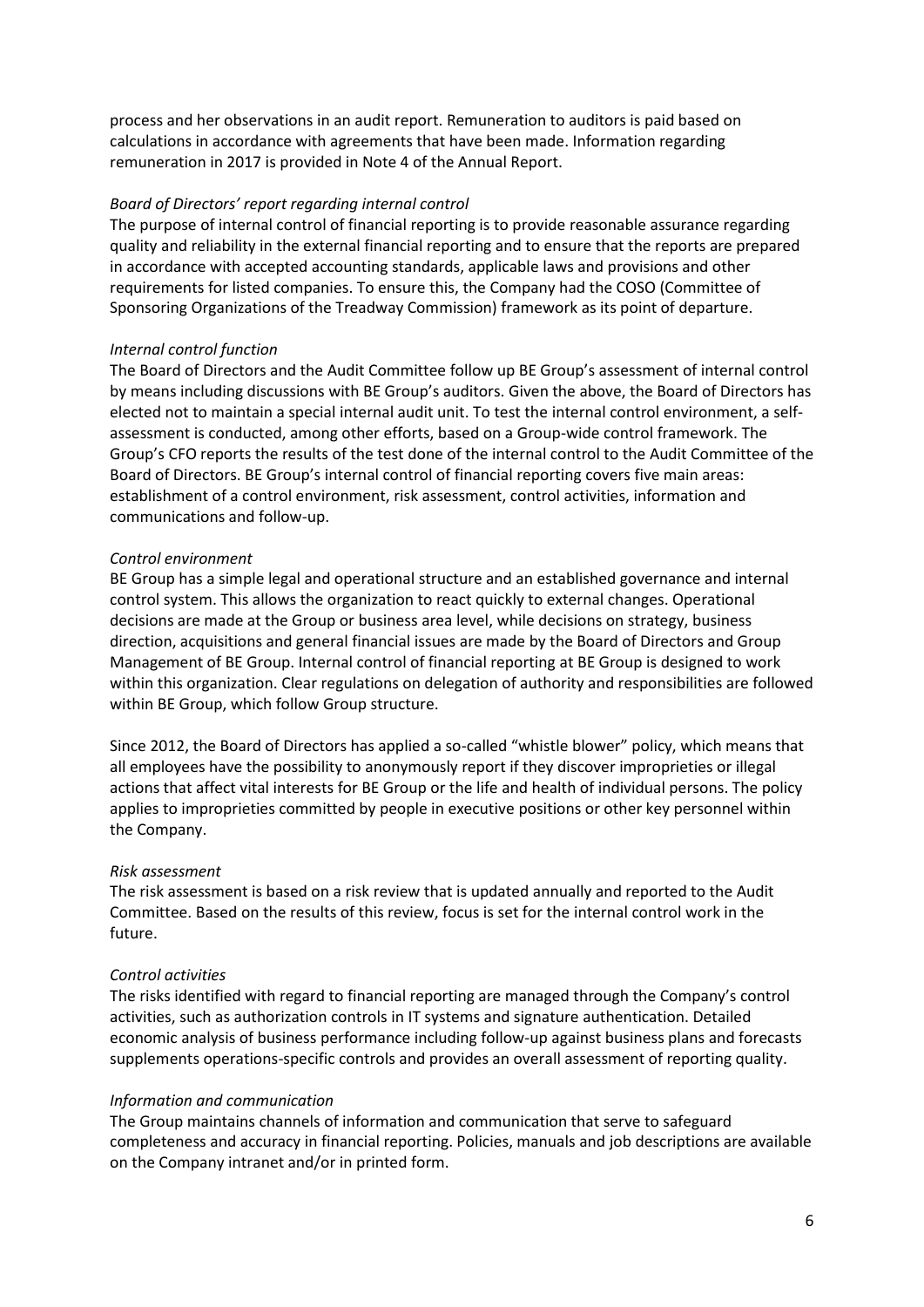process and her observations in an audit report. Remuneration to auditors is paid based on calculations in accordance with agreements that have been made. Information regarding remuneration in 2017 is provided in Note 4 of the Annual Report.

## *Board of Directors' report regarding internal control*

The purpose of internal control of financial reporting is to provide reasonable assurance regarding quality and reliability in the external financial reporting and to ensure that the reports are prepared in accordance with accepted accounting standards, applicable laws and provisions and other requirements for listed companies. To ensure this, the Company had the COSO (Committee of Sponsoring Organizations of the Treadway Commission) framework as its point of departure.

#### *Internal control function*

The Board of Directors and the Audit Committee follow up BE Group's assessment of internal control by means including discussions with BE Group's auditors. Given the above, the Board of Directors has elected not to maintain a special internal audit unit. To test the internal control environment, a selfassessment is conducted, among other efforts, based on a Group-wide control framework. The Group's CFO reports the results of the test done of the internal control to the Audit Committee of the Board of Directors. BE Group's internal control of financial reporting covers five main areas: establishment of a control environment, risk assessment, control activities, information and communications and follow-up.

#### *Control environment*

BE Group has a simple legal and operational structure and an established governance and internal control system. This allows the organization to react quickly to external changes. Operational decisions are made at the Group or business area level, while decisions on strategy, business direction, acquisitions and general financial issues are made by the Board of Directors and Group Management of BE Group. Internal control of financial reporting at BE Group is designed to work within this organization. Clear regulations on delegation of authority and responsibilities are followed within BE Group, which follow Group structure.

Since 2012, the Board of Directors has applied a so-called "whistle blower" policy, which means that all employees have the possibility to anonymously report if they discover improprieties or illegal actions that affect vital interests for BE Group or the life and health of individual persons. The policy applies to improprieties committed by people in executive positions or other key personnel within the Company.

#### *Risk assessment*

The risk assessment is based on a risk review that is updated annually and reported to the Audit Committee. Based on the results of this review, focus is set for the internal control work in the future.

#### *Control activities*

The risks identified with regard to financial reporting are managed through the Company's control activities, such as authorization controls in IT systems and signature authentication. Detailed economic analysis of business performance including follow-up against business plans and forecasts supplements operations-specific controls and provides an overall assessment of reporting quality.

#### *Information and communication*

The Group maintains channels of information and communication that serve to safeguard completeness and accuracy in financial reporting. Policies, manuals and job descriptions are available on the Company intranet and/or in printed form.